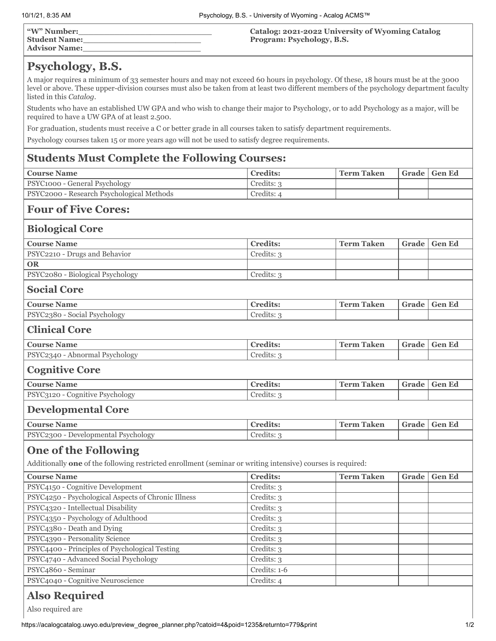| "W" Number:          | Catalog: 2021-2022 University of Wyoming Catalog |
|----------------------|--------------------------------------------------|
| <b>Student Name:</b> | Program: Psychology, B.S.                        |
| <b>Advisor Name:</b> |                                                  |

## **Psychology, B.S.**

A major requires a minimum of 33 semester hours and may not exceed 60 hours in psychology. Of these, 18 hours must be at the 3000 level or above. These upper-division courses must also be taken from at least two different members of the psychology department faculty listed in this *Catalog*.

Students who have an established UW GPA and who wish to change their major to Psychology, or to add Psychology as a major, will be required to have a UW GPA of at least 2.500.

For graduation, students must receive a C or better grade in all courses taken to satisfy department requirements.

Psychology courses taken 15 or more years ago will not be used to satisfy degree requirements.

## **Students Must Complete the Following Courses:**

| <b>Course Name</b>                                                                                                                         | <b>Credits:</b> | <b>Term Taken</b> | Grade | <b>Gen Ed</b> |  |  |  |
|--------------------------------------------------------------------------------------------------------------------------------------------|-----------------|-------------------|-------|---------------|--|--|--|
| PSYC1000 - General Psychology                                                                                                              | Credits: 3      |                   |       |               |  |  |  |
| PSYC2000 - Research Psychological Methods                                                                                                  | Credits: 4      |                   |       |               |  |  |  |
| <b>Four of Five Cores:</b>                                                                                                                 |                 |                   |       |               |  |  |  |
| <b>Biological Core</b>                                                                                                                     |                 |                   |       |               |  |  |  |
| <b>Course Name</b>                                                                                                                         | <b>Credits:</b> | <b>Term Taken</b> | Grade | <b>Gen Ed</b> |  |  |  |
| PSYC2210 - Drugs and Behavior                                                                                                              | Credits: 3      |                   |       |               |  |  |  |
| <b>OR</b>                                                                                                                                  |                 |                   |       |               |  |  |  |
| PSYC2080 - Biological Psychology                                                                                                           | Credits: 3      |                   |       |               |  |  |  |
| <b>Social Core</b>                                                                                                                         |                 |                   |       |               |  |  |  |
| <b>Course Name</b>                                                                                                                         | <b>Credits:</b> | <b>Term Taken</b> | Grade | <b>Gen Ed</b> |  |  |  |
| PSYC2380 - Social Psychology                                                                                                               | Credits: 3      |                   |       |               |  |  |  |
| <b>Clinical Core</b>                                                                                                                       |                 |                   |       |               |  |  |  |
| <b>Course Name</b>                                                                                                                         | <b>Credits:</b> | <b>Term Taken</b> | Grade | <b>Gen Ed</b> |  |  |  |
| PSYC2340 - Abnormal Psychology                                                                                                             | Credits: 3      |                   |       |               |  |  |  |
| <b>Cognitive Core</b>                                                                                                                      |                 |                   |       |               |  |  |  |
| <b>Course Name</b>                                                                                                                         | <b>Credits:</b> | <b>Term Taken</b> | Grade | <b>Gen Ed</b> |  |  |  |
| PSYC3120 - Cognitive Psychology                                                                                                            | Credits: 3      |                   |       |               |  |  |  |
| <b>Developmental Core</b>                                                                                                                  |                 |                   |       |               |  |  |  |
| <b>Course Name</b>                                                                                                                         | <b>Credits:</b> | <b>Term Taken</b> | Grade | <b>Gen Ed</b> |  |  |  |
| PSYC2300 - Developmental Psychology                                                                                                        | Credits: 3      |                   |       |               |  |  |  |
| <b>One of the Following</b><br>Additionally one of the following restricted enrollment (seminar or writing intensive) courses is required: |                 |                   |       |               |  |  |  |
| <b>Course Name</b>                                                                                                                         | <b>Credits:</b> | <b>Term Taken</b> | Grade | <b>Gen Ed</b> |  |  |  |
| PSYC4150 - Cognitive Development                                                                                                           | Credits: 3      |                   |       |               |  |  |  |
| PSYC4250 - Psychological Aspects of Chronic Illness                                                                                        | Credits: 3      |                   |       |               |  |  |  |
| PSYC4320 - Intellectual Disability                                                                                                         | Credits: 3      |                   |       |               |  |  |  |
| PSYC4350 - Psychology of Adulthood                                                                                                         | Credits: 3      |                   |       |               |  |  |  |
| PSYC4380 - Death and Dying                                                                                                                 | Credits: 3      |                   |       |               |  |  |  |
| PSYC4390 - Personality Science                                                                                                             | Credits: 3      |                   |       |               |  |  |  |
| PSYC4400 - Principles of Psychological Testing                                                                                             | Credits: 3      |                   |       |               |  |  |  |
| PSYC4740 - Advanced Social Psychology                                                                                                      | Credits: 3      |                   |       |               |  |  |  |
| PSYC4860 - Seminar                                                                                                                         | Credits: 1-6    |                   |       |               |  |  |  |
| PSYC4040 - Cognitive Neuroscience                                                                                                          | Credits: 4      |                   |       |               |  |  |  |
| <b>Also Required</b>                                                                                                                       |                 |                   |       |               |  |  |  |

Also required are